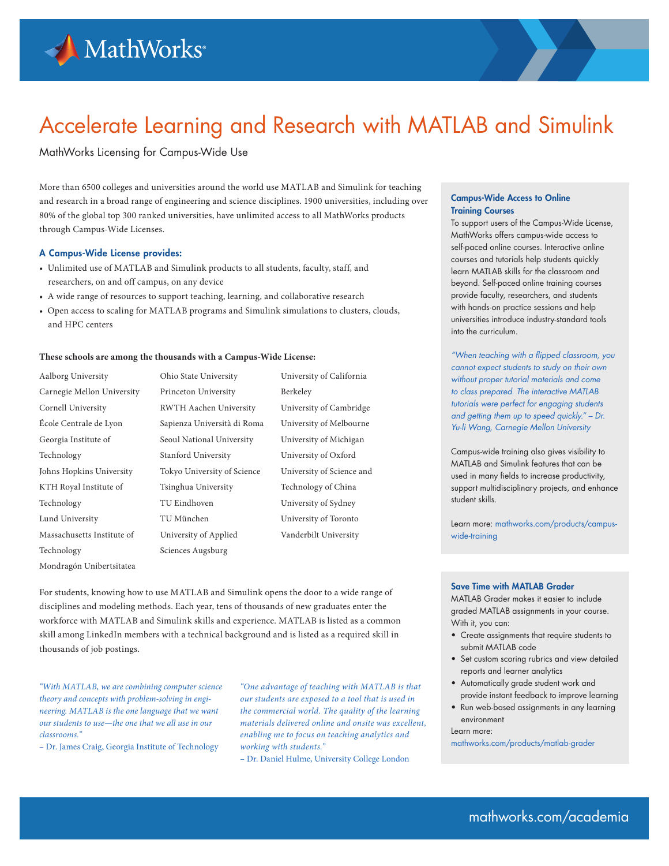

# Accelerate Learning and Research with MATLAB and Simulink

# MathWorks Licensing for Campus-Wide Use

More than 6500 colleges and universities around the world use MATLAB and Simulink for teaching and research in a broad range of engineering and science disciplines. 1900 universities, including over 80% of the global top 300 ranked universities, have unlimited access to all MathWorks products through Campus-Wide Licenses.

## A Campus-Wide License provides:

- Unlimited use of MATLAB and Simulink products to all students, faculty, staff, and researchers, on and off campus, on any device
- A wide range of resources to support teaching, learning, and collaborative research
- Open access to scaling for MATLAB programs and Simulink simulations to clusters, clouds, and HPC centers

### **These schools are among the thousands with a Campus-Wide License:**

- Aalborg University Carnegie Mellon University Cornell University École Centrale de Lyon Georgia Institute of Technology Johns Hopkins University KTH Royal Institute of Technology Lund University Massachusetts Institute of Technology Mondragón Unibertsitatea
- Ohio State University Princeton University RWTH Aachen University Sapienza Università di Roma Seoul National University Stanford University Tokyo University of Science Tsinghua University TU Eindhoven TU München University of Applied Sciences Augsburg

University of California Berkeley University of Cambridge University of Melbourne University of Michigan University of Oxford University of Science and Technology of China University of Sydney University of Toronto Vanderbilt University

For students, knowing how to use MATLAB and Simulink opens the door to a wide range of disciplines and modeling methods. Each year, tens of thousands of new graduates enter the workforce with MATLAB and Simulink skills and experience. MATLAB is listed as a common skill among LinkedIn members with a technical background and is listed as a required skill in thousands of job postings.

*"With MATLAB, we are combining computer science theory and concepts with problem-solving in engineering. MATLAB is the one language that we want our students to use—the one that we all use in our classrooms."* 

– Dr. James Craig, Georgia Institute of Technology

*"One advantage of teaching with MATLAB is that our students are exposed to a tool that is used in the commercial world. The quality of the learning materials delivered online and onsite was excellent, enabling me to focus on teaching analytics and working with students."* 

– Dr. Daniel Hulme, University College London

#### Campus-Wide Access to Online Training Courses

To support users of the Campus-Wide License, MathWorks offers campus-wide access to self-paced online courses. Interactive online courses and tutorials help students quickly learn MATLAB skills for the classroom and beyond. Self-paced online training courses provide faculty, researchers, and students with hands-on practice sessions and help universities introduce industry-standard tools into the curriculum.

*"When teaching with a flipped classroom, you cannot expect students to study on their own without proper tutorial materials and come to class prepared. The interactive MATLAB tutorials were perfect for engaging students and getting them up to speed quickly." – Dr. Yu-li Wang, Carnegie Mellon University* 

Campus-wide training also gives visibility to MATLAB and Simulink features that can be used in many fields to increase productivity, support multidisciplinary projects, and enhance student skills.

Learn more: mathworks.com/products/campuswide-training

#### Save Time with MATLAB Grader

MATLAB Grader makes it easier to include graded MATLAB assignments in your course. With it, you can:

- Create assignments that require students to submit MATLAB code
- Set custom scoring rubrics and view detailed reports and learner analytics
- Automatically grade student work and provide instant feedback to improve learning
- Run web-based assignments in any learning environment

Learn more:

mathworks.com/products/matlab-grader